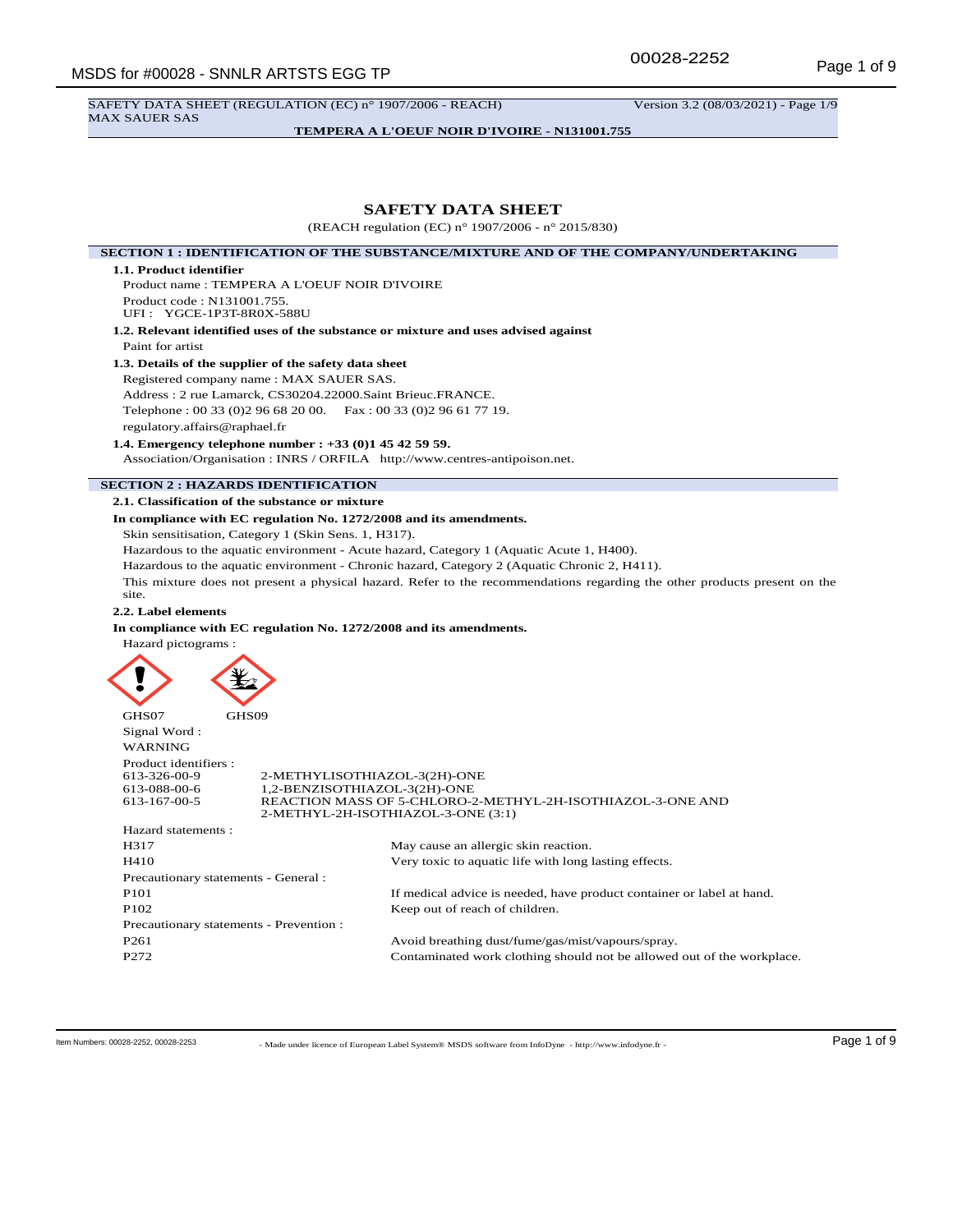SAFETY DATA SHEET (REGULATION (EC) n° 1907/2006 - REACH) Version 3.2 (08/03/2021) - Page 1/9 MAX SAUER SAS

**TEMPERA A L'OEUF NOIR D'IVOIRE - N131001.755**

# **SAFETY DATA SHEET**

(REACH regulation (EC) n° 1907/2006 - n° 2015/830)

**SECTION 1 : IDENTIFICATION OF THE SUBSTANCE/MIXTURE AND OF THE COMPANY/UNDERTAKING**

#### **1.1. Product identifier**

Product name : TEMPERA A L'OEUF NOIR D'IVOIRE Product code : N131001.755. UFI : YGCE-1P3T-8R0X-588U

**1.2. Relevant identified uses of the substance or mixture and uses advised against** Paint for artist

# **1.3. Details of the supplier of the safety data sheet**

Registered company name : MAX SAUER SAS. Address : 2 rue Lamarck, CS30204.22000.Saint Brieuc.FRANCE. Telephone : 00 33 (0)2 96 68 20 00. Fax : 00 33 (0)2 96 61 77 19. regulatory.affairs@raphael.fr

**1.4. Emergency telephone number : +33 (0)1 45 42 59 59.** Association/Organisation : INRS / ORFILA http://www.centres-antipoison.net.

#### **SECTION 2 : HAZARDS IDENTIFICATION**

#### **2.1. Classification of the substance or mixture**

## **In compliance with EC regulation No. 1272/2008 and its amendments.**

Skin sensitisation, Category 1 (Skin Sens. 1, H317).

Hazardous to the aquatic environment - Acute hazard, Category 1 (Aquatic Acute 1, H400).

Hazardous to the aquatic environment - Chronic hazard, Category 2 (Aquatic Chronic 2, H411).

This mixture does not present a physical hazard. Refer to the recommendations regarding the other products present on the site.

# **2.2. Label elements**

#### **In compliance with EC regulation No. 1272/2008 and its amendments.**

Hazard pictograms :



GHS07 GHS09 Signal Word : WARNING Product identifiers :<br>613-326-00-9 613-326-00-9 2-METHYLISOTHIAZOL-3(2H)-ONE 613-088-00-6 1,2-BENZISOTHIAZOL-3(2H)-ONE<br>613-167-00-5 REACTION MASS OF 5-CHLORO-2 613-167-00-5 REACTION MASS OF 5-CHLORO-2-METHYL-2H-ISOTHIAZOL-3-ONE AND 2-METHYL-2H-ISOTHIAZOL-3-ONE (3:1) Hazard statements : H317 May cause an allergic skin reaction.

| H317                                    | May cause an allergic skin reaction.                                   |
|-----------------------------------------|------------------------------------------------------------------------|
| H410                                    | Very toxic to aquatic life with long lasting effects.                  |
| Precautionary statements - General :    |                                                                        |
| P <sub>101</sub>                        | If medical advice is needed, have product container or label at hand.  |
| P <sub>102</sub>                        | Keep out of reach of children.                                         |
| Precautionary statements - Prevention : |                                                                        |
| P261                                    | Avoid breathing dust/fume/gas/mist/vapours/spray.                      |
| P272                                    | Contaminated work clothing should not be allowed out of the workplace. |
|                                         |                                                                        |

- Made under licence of European Label System® MSDS software from InfoDyne - http://www.infodyne.fr - Item Numbers: 00028-2252, 00028-2253 Page 1 of 9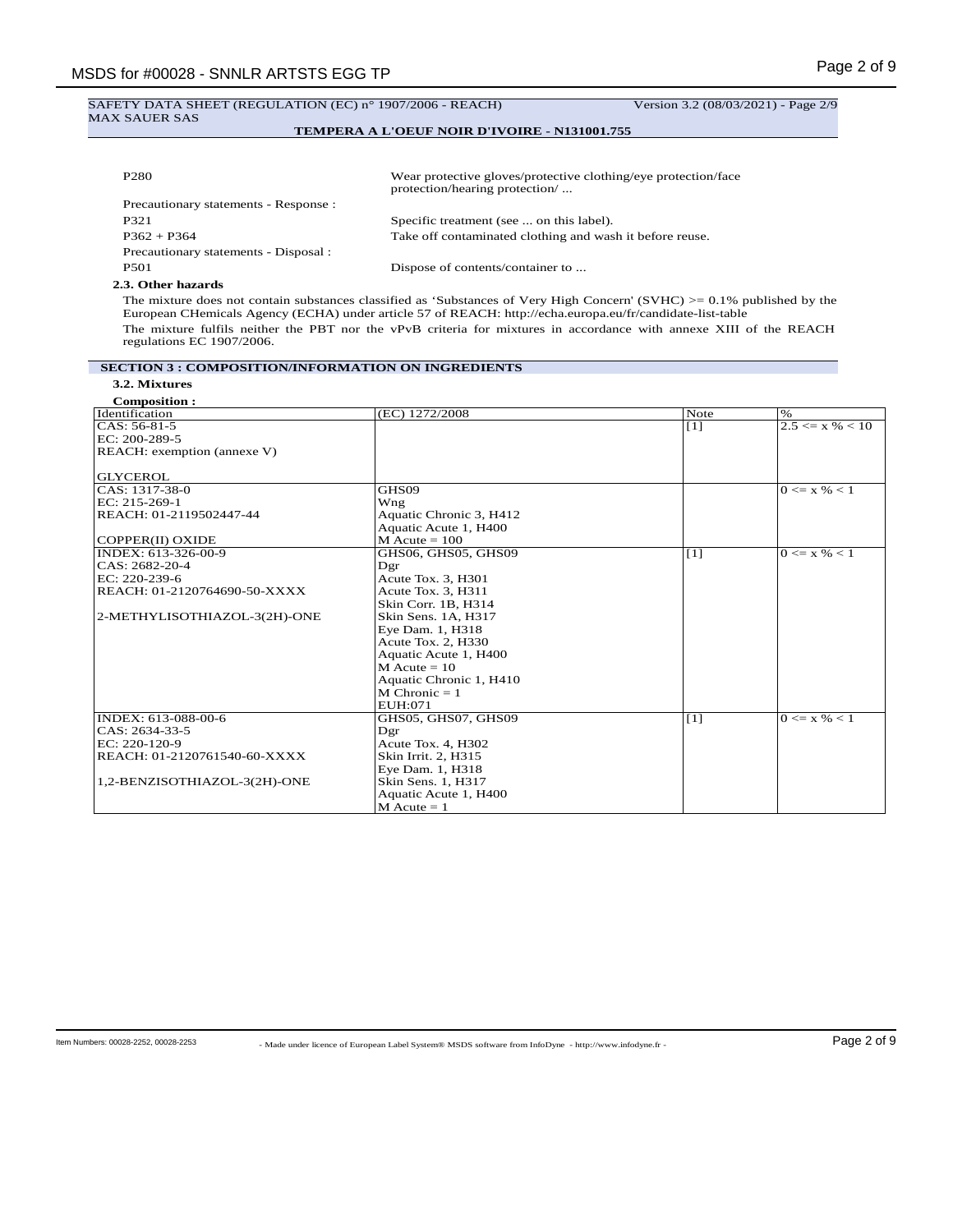# SAFETY DATA SHEET (REGULATION (EC) n° 1907/2006 - REACH) Version 3.2 (08/03/2021) - Page 2/9 MAX SAUER SAS

# **TEMPERA A L'OEUF NOIR D'IVOIRE - N131001.755**

| P <sub>280</sub>                      | Wear protective gloves/protective clothing/eye protection/face<br>protection/hearing protection/ |
|---------------------------------------|--------------------------------------------------------------------------------------------------|
| Precautionary statements - Response : |                                                                                                  |
| P321                                  | Specific treatment (see  on this label).                                                         |
| $P362 + P364$                         | Take off contaminated clothing and wash it before reuse.                                         |
| Precautionary statements - Disposal : |                                                                                                  |
| P501                                  | Dispose of contents/container to                                                                 |

# **2.3. Other hazards**

The mixture does not contain substances classified as 'Substances of Very High Concern' (SVHC) >= 0.1% published by the European CHemicals Agency (ECHA) under article 57 of REACH: http://echa.europa.eu/fr/candidate-list-table The mixture fulfils neither the PBT nor the vPvB criteria for mixtures in accordance with annexe XIII of the REACH regulations EC 1907/2006.

# **SECTION 3 : COMPOSITION/INFORMATION ON INGREDIENTS**

# **3.2. Mixtures**

| <b>Composition:</b>          |                         |       |                     |
|------------------------------|-------------------------|-------|---------------------|
| Identification               | (EC) 1272/2008          | Note  | $\%$                |
| $CAS: 56-81-5$               |                         | [1]   | $2.5 \le x \% < 10$ |
| EC: 200-289-5                |                         |       |                     |
| REACH: exemption (annexe V)  |                         |       |                     |
|                              |                         |       |                     |
| <b>GLYCEROL</b>              |                         |       |                     |
| $CAS: 1317-38-0$             | GHS <sub>09</sub>       |       | $0 \le x \% < 1$    |
| $EC: 215-269-1$              | Wng                     |       |                     |
| REACH: 01-2119502447-44      | Aquatic Chronic 3, H412 |       |                     |
|                              | Aquatic Acute 1, H400   |       |                     |
| COPPER(II) OXIDE             | $M$ Acute = 100         |       |                     |
| INDEX: 613-326-00-9          | GHS06, GHS05, GHS09     | $[1]$ | $0 \le x \% < 1$    |
| $CAS: 2682-20-4$             | Dgr                     |       |                     |
| EC: 220-239-6                | Acute Tox. 3, H301      |       |                     |
| REACH: 01-2120764690-50-XXXX | Acute Tox. 3, H311      |       |                     |
|                              | Skin Corr. 1B, H314     |       |                     |
| 2-METHYLISOTHIAZOL-3(2H)-ONE | Skin Sens. 1A, H317     |       |                     |
|                              | Eye Dam. 1, H318        |       |                     |
|                              | Acute Tox. 2, H330      |       |                     |
|                              | Aquatic Acute 1, H400   |       |                     |
|                              | $M$ Acute = 10          |       |                     |
|                              | Aquatic Chronic 1, H410 |       |                     |
|                              | $M$ Chronic = 1         |       |                     |
|                              | EUH:071                 |       |                     |
| INDEX: 613-088-00-6          | GHS05, GHS07, GHS09     | [1]   | $0 \le x \% < 1$    |
| $CAS: 2634-33-5$             | Dgr                     |       |                     |
| EC: 220-120-9                | Acute Tox. 4, H302      |       |                     |
| REACH: 01-2120761540-60-XXXX | Skin Irrit. 2, H315     |       |                     |
|                              | Eye Dam. 1, H318        |       |                     |
| 1,2-BENZISOTHIAZOL-3(2H)-ONE | Skin Sens. 1, H317      |       |                     |
|                              | Aquatic Acute 1, H400   |       |                     |
|                              | $M$ Acute = 1           |       |                     |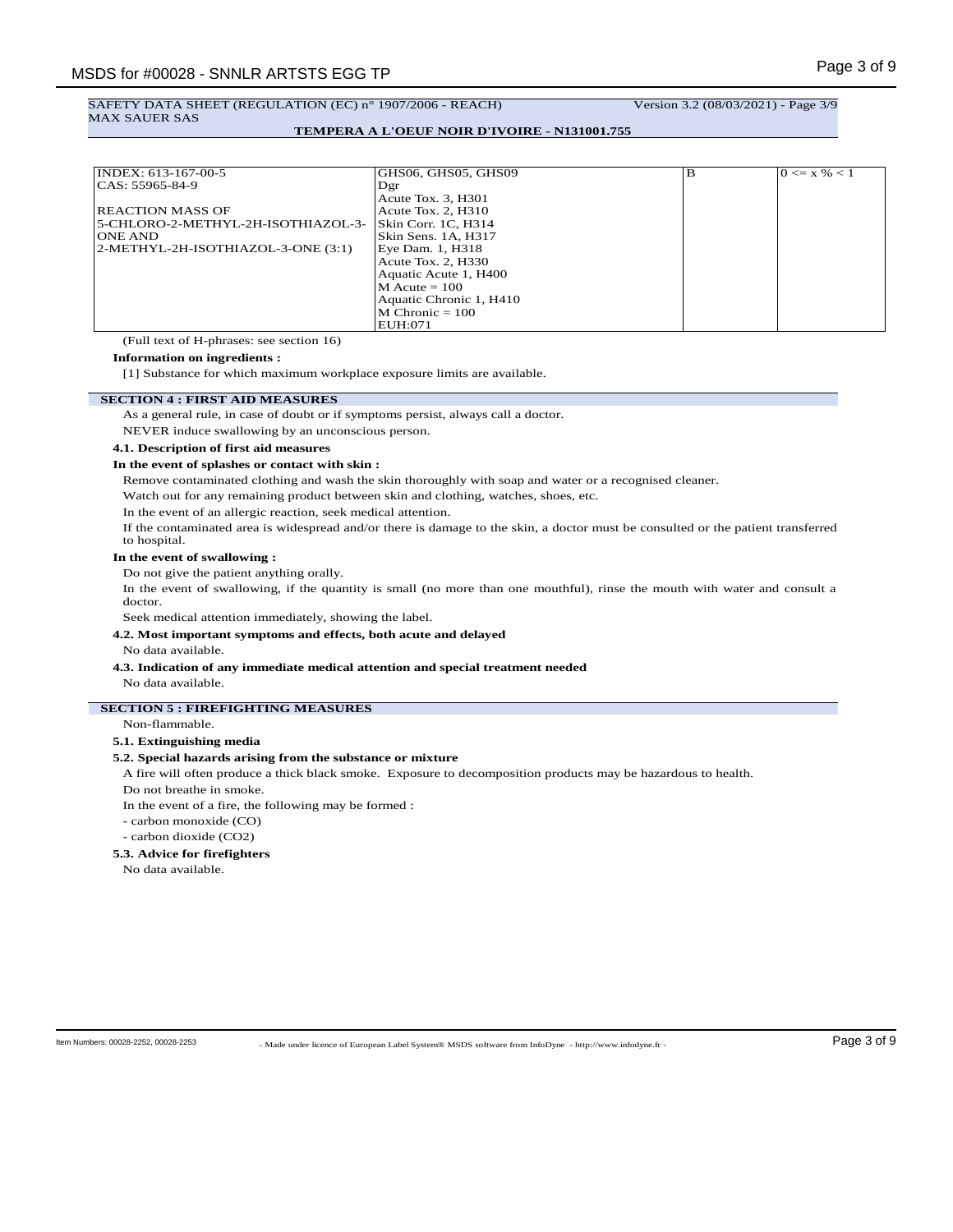# SAFETY DATA SHEET (REGULATION (EC) n° 1907/2006 - REACH) Version 3.2 (08/03/2021) - Page 3/9 MAX SAUER SAS

# **TEMPERA A L'OEUF NOIR D'IVOIRE - N131001.755**

| INDEX: 613-167-00-5                | GHS06, GHS05, GHS09     | B | $0 \le x \% < 1$ |
|------------------------------------|-------------------------|---|------------------|
| CAS: 55965-84-9                    | Dgr                     |   |                  |
|                                    | Acute Tox. 3, H301      |   |                  |
| <b>REACTION MASS OF</b>            | Acute Tox. 2, H310      |   |                  |
| 5-CHLORO-2-METHYL-2H-ISOTHIAZOL-3- | Skin Corr. 1C, H314     |   |                  |
| <b>ONE AND</b>                     | Skin Sens. 1A, H317     |   |                  |
| 2-METHYL-2H-ISOTHIAZOL-3-ONE (3:1) | Eye Dam. 1, H318        |   |                  |
|                                    | Acute Tox. 2, H330      |   |                  |
|                                    | Aquatic Acute 1, H400   |   |                  |
|                                    | $M$ Acute = 100         |   |                  |
|                                    | Aquatic Chronic 1, H410 |   |                  |
|                                    | $M$ Chronic = 100       |   |                  |
|                                    | EUH:071                 |   |                  |

(Full text of H-phrases: see section 16)

## **Information on ingredients :**

[1] Substance for which maximum workplace exposure limits are available.

## **SECTION 4 : FIRST AID MEASURES**

As a general rule, in case of doubt or if symptoms persist, always call a doctor.

NEVER induce swallowing by an unconscious person.

### **4.1. Description of first aid measures**

#### **In the event of splashes or contact with skin :**

Remove contaminated clothing and wash the skin thoroughly with soap and water or a recognised cleaner.

Watch out for any remaining product between skin and clothing, watches, shoes, etc.

In the event of an allergic reaction, seek medical attention.

If the contaminated area is widespread and/or there is damage to the skin, a doctor must be consulted or the patient transferred to hospital.

#### **In the event of swallowing :**

Do not give the patient anything orally.

In the event of swallowing, if the quantity is small (no more than one mouthful), rinse the mouth with water and consult a doctor.

Seek medical attention immediately, showing the label.

#### **4.2. Most important symptoms and effects, both acute and delayed**

#### No data available.

## **4.3. Indication of any immediate medical attention and special treatment needed**

No data available.

# **SECTION 5 : FIREFIGHTING MEASURES**

#### Non-flammable.

**5.1. Extinguishing media**

## **5.2. Special hazards arising from the substance or mixture**

A fire will often produce a thick black smoke. Exposure to decomposition products may be hazardous to health.

Do not breathe in smoke.

In the event of a fire, the following may be formed :

- carbon monoxide (CO)
- carbon dioxide (CO2)

#### **5.3. Advice for firefighters**

No data available.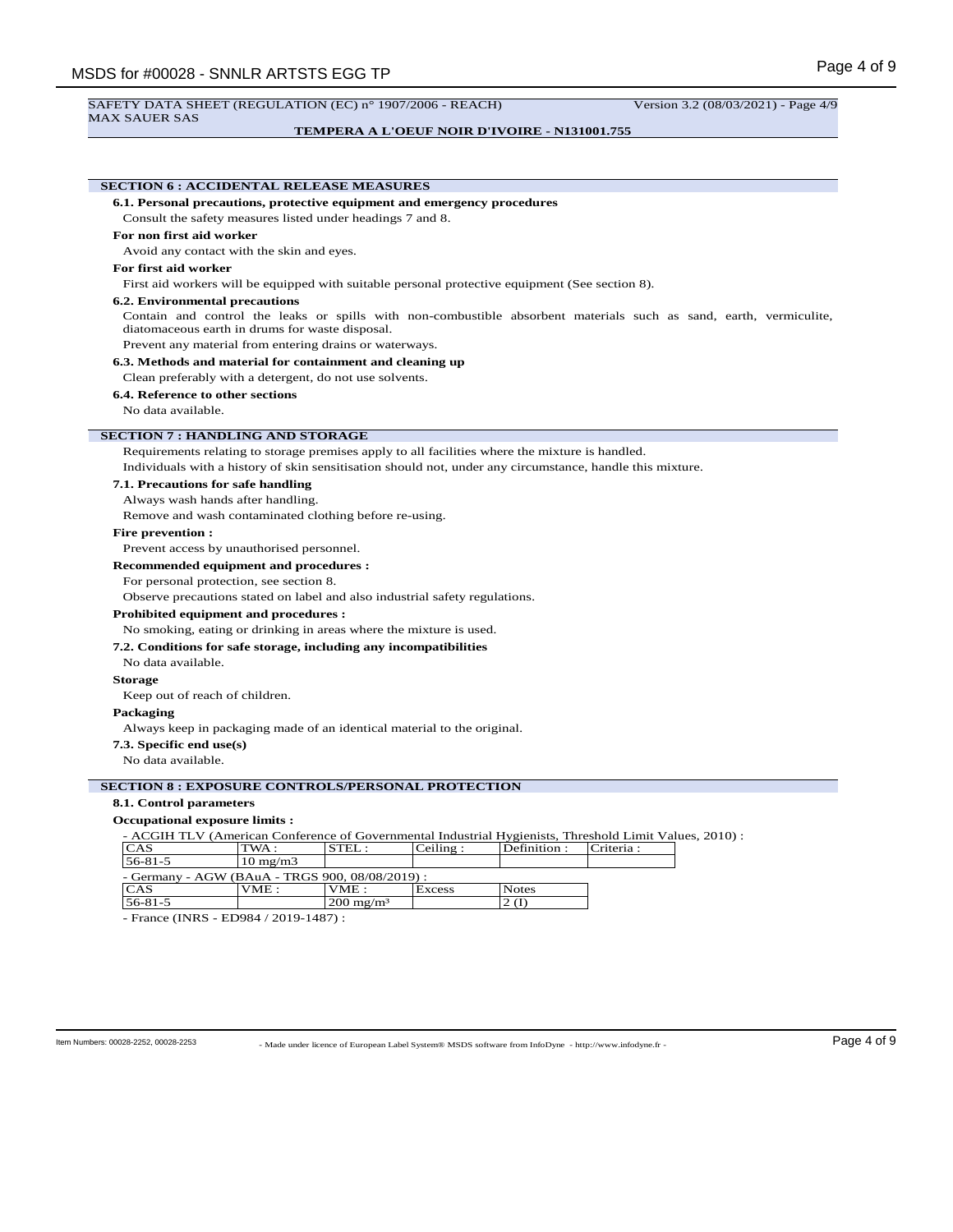┑

## **TEMPERA A L'OEUF NOIR D'IVOIRE - N131001.755**

# **SECTION 6 : ACCIDENTAL RELEASE MEASURES**

**6.1. Personal precautions, protective equipment and emergency procedures**

Consult the safety measures listed under headings 7 and 8.

## **For non first aid worker**

Avoid any contact with the skin and eyes.

### **For first aid worker**

First aid workers will be equipped with suitable personal protective equipment (See section 8).

#### **6.2. Environmental precautions**

Contain and control the leaks or spills with non-combustible absorbent materials such as sand, earth, vermiculite, diatomaceous earth in drums for waste disposal.

Prevent any material from entering drains or waterways.

# **6.3. Methods and material for containment and cleaning up**

Clean preferably with a detergent, do not use solvents.

## **6.4. Reference to other sections**

No data available.

### **SECTION 7 : HANDLING AND STORAGE**

Requirements relating to storage premises apply to all facilities where the mixture is handled.

Individuals with a history of skin sensitisation should not, under any circumstance, handle this mixture.

## **7.1. Precautions for safe handling**

Always wash hands after handling.

Remove and wash contaminated clothing before re-using.

## **Fire prevention :**

Prevent access by unauthorised personnel.

**Recommended equipment and procedures :**

## For personal protection, see section 8.

Observe precautions stated on label and also industrial safety regulations.

#### **Prohibited equipment and procedures :**

No smoking, eating or drinking in areas where the mixture is used.

#### **7.2. Conditions for safe storage, including any incompatibilities**

No data available.

### **Storage**

Keep out of reach of children.

#### **Packaging**

Always keep in packaging made of an identical material to the original.

#### **7.3. Specific end use(s)**

No data available.

# **SECTION 8 : EXPOSURE CONTROLS/PERSONAL PROTECTION**

## **8.1. Control parameters**

# **Occupational exposure limits :**

- ACGIH TLV (American Conference of Governmental Industrial Hygienists, Threshold Limit Values, 2010) :

| CAS                                             | $\mathrm{TWA}:\mathbb{R}^{d}\rightarrow\mathbb{R}^{d}$ | STEL:                | Ceiling: | Definition:  | Criteria: |  |  |
|-------------------------------------------------|--------------------------------------------------------|----------------------|----------|--------------|-----------|--|--|
| $56 - 81 - 5$                                   | $10 \text{ mg/m}$ 3                                    |                      |          |              |           |  |  |
| - Germany - AGW (BAuA - TRGS 900, 08/08/2019) : |                                                        |                      |          |              |           |  |  |
| CAS                                             | $\mathsf{VME}:\mathsf{A}\to\mathsf{A}$                 | VME:                 | Excess   | <b>Notes</b> |           |  |  |
| $56 - 81 - 5$                                   |                                                        | $200 \text{ mg/m}^3$ |          | 2 (I)        |           |  |  |

- France (INRS - ED984 / 2019-1487) :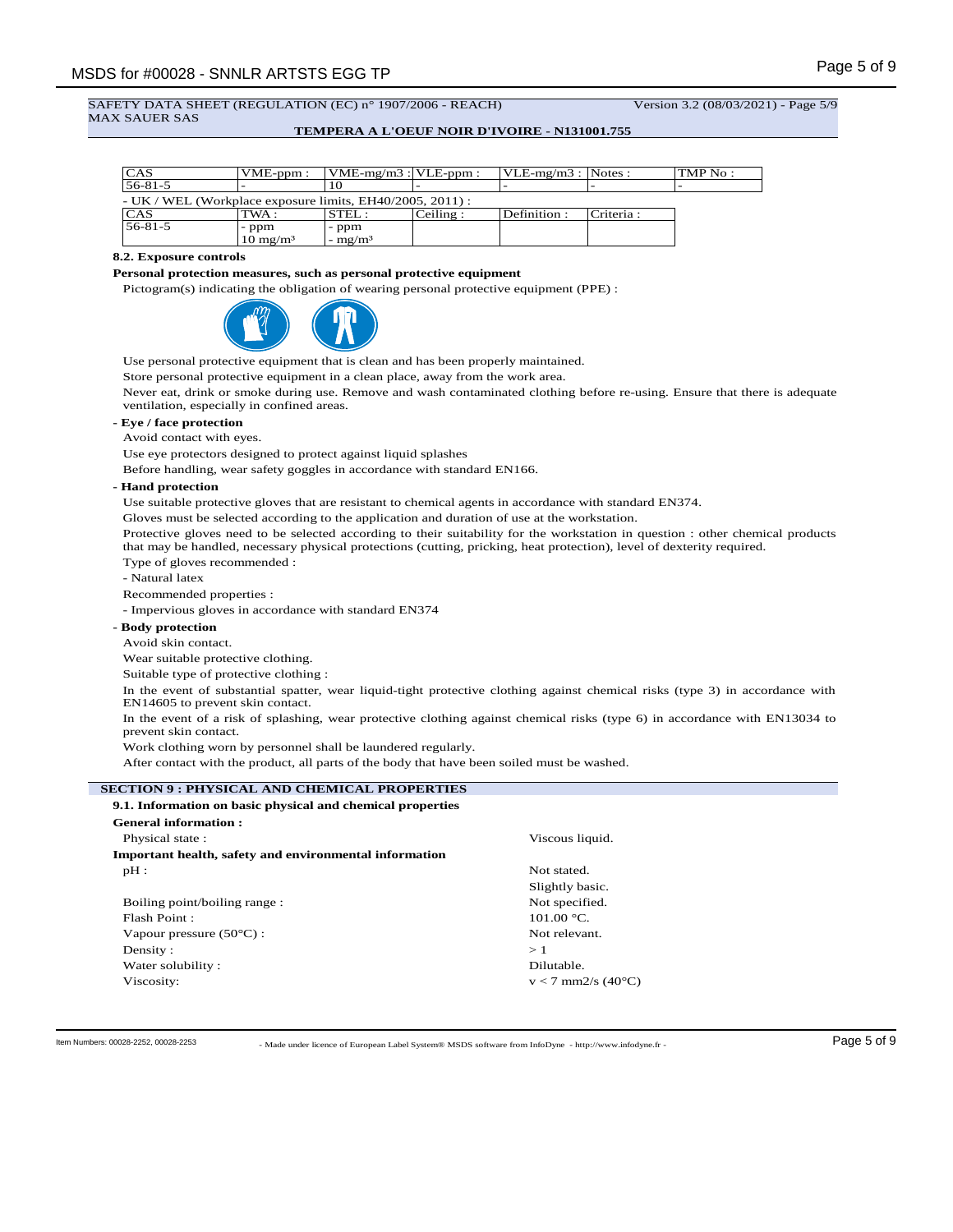#### SAFETY DATA SHEET (REGULATION (EC) n° 1907/2006 - REACH) Version 3.2 (08/03/2021) - Page 5/9 MAX SAUER SAS

#### **TEMPERA A L'OEUF NOIR D'IVOIRE - N131001.755**

| <b>CAS</b>                                                  | $VME-ppm$ :         | $VME-mg/m3$ : $VLE-ppm$ : |          | $VLE-mg/m3$ : Notes : |            | TMP No: |
|-------------------------------------------------------------|---------------------|---------------------------|----------|-----------------------|------------|---------|
| $56 - 81 - 5$                                               |                     | 10                        |          |                       |            |         |
| $- UK$ / WEL (Workplace exposure limits, EH40/2005, 2011) : |                     |                           |          |                       |            |         |
| <b>CAS</b>                                                  | TWA :               | STEL:                     | Ceiling: | Definition:           | Criteria : |         |
| $56 - 81 - 5$                                               | - ppm               | - ppm                     |          |                       |            |         |
|                                                             | $10 \text{ mg/m}^3$ | - $mg/m^3$                |          |                       |            |         |

## **8.2. Exposure controls**

#### **Personal protection measures, such as personal protective equipment**

Pictogram(s) indicating the obligation of wearing personal protective equipment (PPE) :



Use personal protective equipment that is clean and has been properly maintained.

Store personal protective equipment in a clean place, away from the work area.

Never eat, drink or smoke during use. Remove and wash contaminated clothing before re-using. Ensure that there is adequate ventilation, especially in confined areas.

## **- Eye / face protection**

Avoid contact with eyes.

Use eye protectors designed to protect against liquid splashes

Before handling, wear safety goggles in accordance with standard EN166.

#### **- Hand protection**

Use suitable protective gloves that are resistant to chemical agents in accordance with standard EN374.

Gloves must be selected according to the application and duration of use at the workstation.

Protective gloves need to be selected according to their suitability for the workstation in question : other chemical products that may be handled, necessary physical protections (cutting, pricking, heat protection), level of dexterity required. Type of gloves recommended :

- 
- Natural latex

Recommended properties :

- Impervious gloves in accordance with standard EN374

#### **- Body protection**

Avoid skin contact.

Wear suitable protective clothing.

Suitable type of protective clothing :

In the event of substantial spatter, wear liquid-tight protective clothing against chemical risks (type 3) in accordance with EN14605 to prevent skin contact.

In the event of a risk of splashing, wear protective clothing against chemical risks (type 6) in accordance with EN13034 to prevent skin contact.

Work clothing worn by personnel shall be laundered regularly.

After contact with the product, all parts of the body that have been soiled must be washed.

## **SECTION 9 : PHYSICAL AND CHEMICAL PROPERTIES**

| 9.1. Information on basic physical and chemical properties |                                 |
|------------------------------------------------------------|---------------------------------|
| <b>General information:</b>                                |                                 |
| Physical state:                                            | Viscous liquid.                 |
| Important health, safety and environmental information     |                                 |
| $pH$ :                                                     | Not stated.                     |
|                                                            | Slightly basic.                 |
| Boiling point/boiling range:                               | Not specified.                  |
| Flash Point:                                               | $101.00 °C$ .                   |
| Vapour pressure $(50^{\circ}C)$ :                          | Not relevant.                   |
| Density:                                                   | >1                              |
| Water solubility:                                          | Dilutable.                      |
| Viscosity:                                                 | $v < 7$ mm2/s (40 $^{\circ}$ C) |

- Made under licence of European Label System® MSDS software from InfoDyne - http://www.infodyne.fr - Item Numbers: 00028-2252, 00028-2253 Page 5 of 9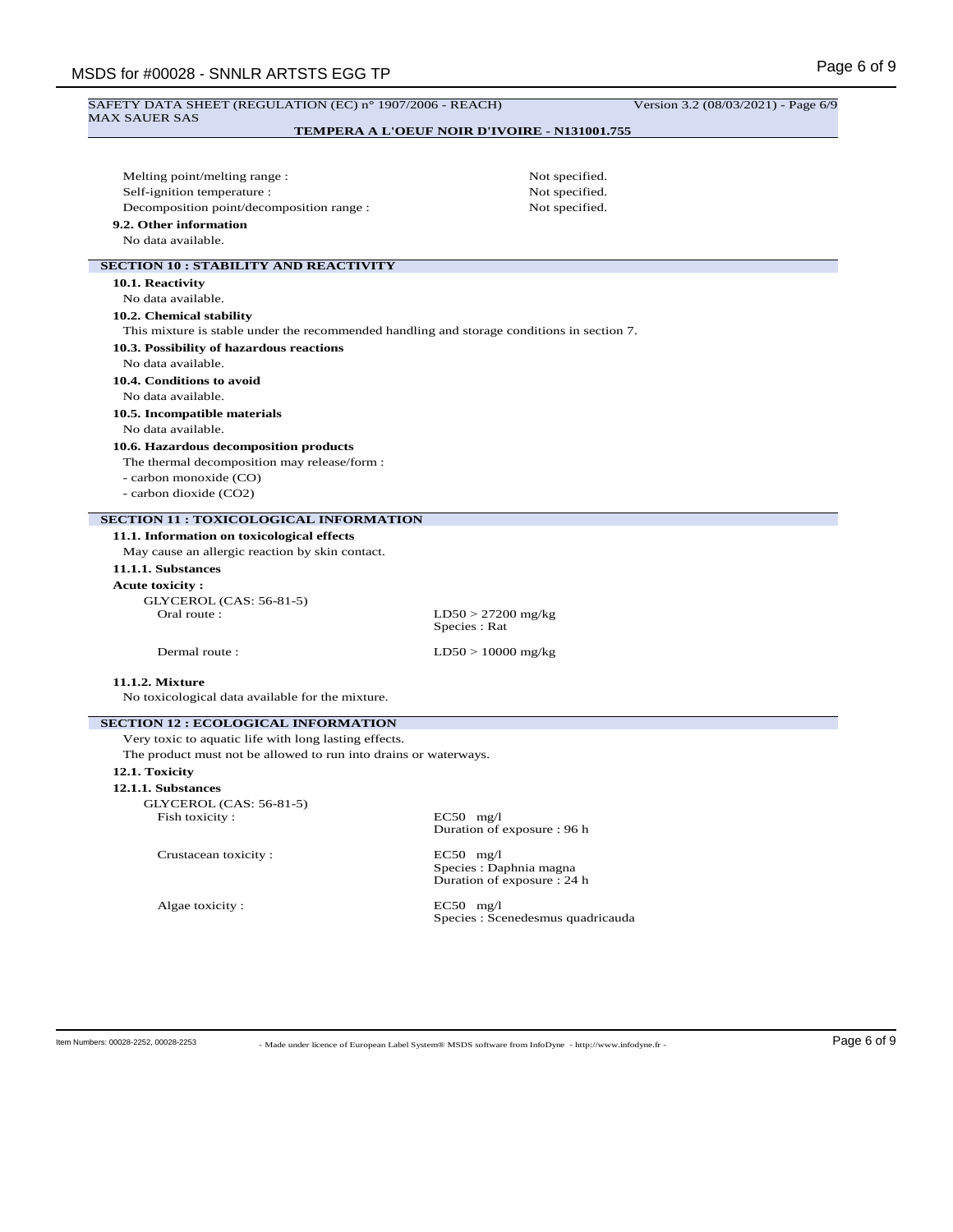| SAFETY DATA SHEET (REGULATION (EC) n° 1907/2006 - REACH)<br><b>MAX SAUER SAS</b>           |                                                       | Version 3.2 (08/03/2021) - Page 6/9 |
|--------------------------------------------------------------------------------------------|-------------------------------------------------------|-------------------------------------|
|                                                                                            | TEMPERA A L'OEUF NOIR D'IVOIRE - N131001.755          |                                     |
|                                                                                            |                                                       |                                     |
|                                                                                            | Not specified.                                        |                                     |
| Melting point/melting range :<br>Self-ignition temperature :                               | Not specified.                                        |                                     |
| Decomposition point/decomposition range :                                                  | Not specified.                                        |                                     |
| 9.2. Other information                                                                     |                                                       |                                     |
| No data available.                                                                         |                                                       |                                     |
|                                                                                            |                                                       |                                     |
| <b>SECTION 10 : STABILITY AND REACTIVITY</b>                                               |                                                       |                                     |
| 10.1. Reactivity                                                                           |                                                       |                                     |
| No data available.                                                                         |                                                       |                                     |
| 10.2. Chemical stability                                                                   |                                                       |                                     |
| This mixture is stable under the recommended handling and storage conditions in section 7. |                                                       |                                     |
| 10.3. Possibility of hazardous reactions                                                   |                                                       |                                     |
| No data available.                                                                         |                                                       |                                     |
| 10.4. Conditions to avoid                                                                  |                                                       |                                     |
| No data available.                                                                         |                                                       |                                     |
| 10.5. Incompatible materials                                                               |                                                       |                                     |
| No data available.                                                                         |                                                       |                                     |
| 10.6. Hazardous decomposition products                                                     |                                                       |                                     |
| The thermal decomposition may release/form :                                               |                                                       |                                     |
| - carbon monoxide (CO)                                                                     |                                                       |                                     |
| - carbon dioxide (CO2)                                                                     |                                                       |                                     |
| <b>SECTION 11 : TOXICOLOGICAL INFORMATION</b>                                              |                                                       |                                     |
| 11.1. Information on toxicological effects                                                 |                                                       |                                     |
| May cause an allergic reaction by skin contact.                                            |                                                       |                                     |
| 11.1.1. Substances                                                                         |                                                       |                                     |
| <b>Acute toxicity:</b>                                                                     |                                                       |                                     |
| GLYCEROL (CAS: 56-81-5)                                                                    |                                                       |                                     |
| Oral route:                                                                                | $LD50 > 27200$ mg/kg                                  |                                     |
|                                                                                            | Species : Rat                                         |                                     |
| Dermal route:                                                                              | $LD50 > 10000$ mg/kg                                  |                                     |
|                                                                                            |                                                       |                                     |
| 11.1.2. Mixture                                                                            |                                                       |                                     |
| No toxicological data available for the mixture.                                           |                                                       |                                     |
|                                                                                            |                                                       |                                     |
| <b>SECTION 12 : ECOLOGICAL INFORMATION</b>                                                 |                                                       |                                     |
| Very toxic to aquatic life with long lasting effects.                                      |                                                       |                                     |
| The product must not be allowed to run into drains or waterways.                           |                                                       |                                     |
| 12.1. Toxicity                                                                             |                                                       |                                     |
| 12.1.1. Substances                                                                         |                                                       |                                     |
| GLYCEROL (CAS: 56-81-5)<br>Fish toxicity:                                                  | $EC50$ mg/l                                           |                                     |
|                                                                                            | Duration of exposure : 96 h                           |                                     |
|                                                                                            |                                                       |                                     |
| Crustacean toxicity:                                                                       | $EC50$ mg/l                                           |                                     |
|                                                                                            | Species : Daphnia magna<br>Duration of exposure: 24 h |                                     |
|                                                                                            |                                                       |                                     |
| Algae toxicity:                                                                            | $EC50$ mg/l                                           |                                     |
|                                                                                            | Species : Scenedesmus quadricauda                     |                                     |
|                                                                                            |                                                       |                                     |
|                                                                                            |                                                       |                                     |

- Made under licence of European Label System® MSDS software from InfoDyne - http://www.infodyne.fr - Item Numbers: 00028-2252, 00028-2253 Page 6 of 9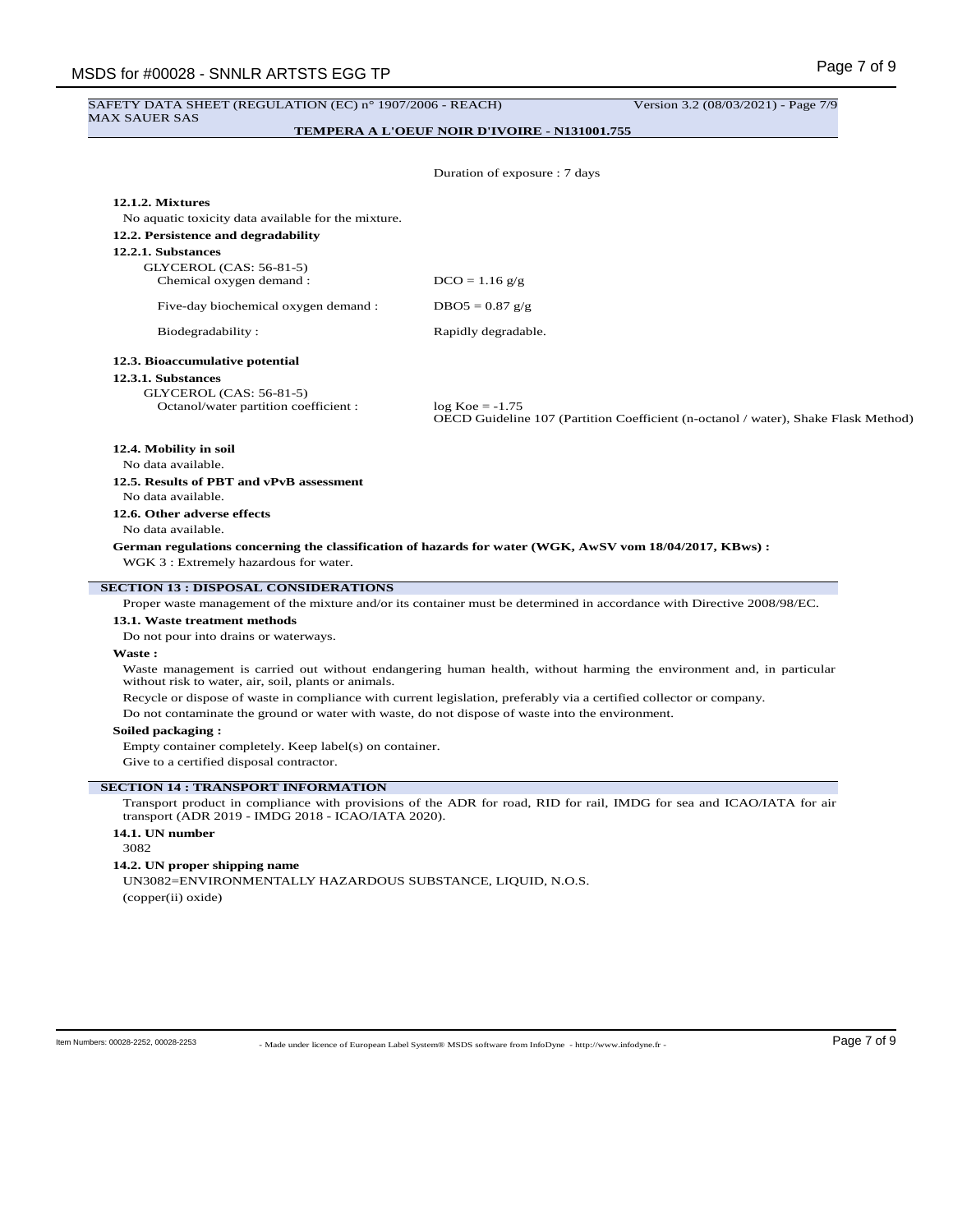# SAFETY DATA SHEET (REGULATION (EC) n° 1907/2006 - REACH) Version 3.2 (08/03/2021) - Page 7/9 MAX SAUER SAS **TEMPERA A L'OEUF NOIR D'IVOIRE - N131001.755** Duration of exposure : 7 days **12.1.2. Mixtures** No aquatic toxicity data available for the mixture. **12.2. Persistence and degradability 12.2.1. Substances** GLYCEROL (CAS: 56-81-5) Chemical oxygen demand :  $DCO = 1.16 g/g$ Five-day biochemical oxygen demand : DBO5 = 0.87 g/g Biodegradability : Rapidly degradable. **12.3. Bioaccumulative potential 12.3.1. Substances** GLYCEROL (CAS: 56-81-5) Octanol/water partition coefficient : log Koe = -1.75 OECD Guideline 107 (Partition Coefficient (n-octanol / water), Shake Flask Method) **12.4. Mobility in soil** No data available. **12.5. Results of PBT and vPvB assessment** No data available. **12.6. Other adverse effects** No data available. **German regulations concerning the classification of hazards for water (WGK, AwSV vom 18/04/2017, KBws) :** WGK 3 : Extremely hazardous for water. **SECTION 13 : DISPOSAL CONSIDERATIONS** Proper waste management of the mixture and/or its container must be determined in accordance with Directive 2008/98/EC. **13.1. Waste treatment methods** Do not pour into drains or waterways. **Waste :** Waste management is carried out without endangering human health, without harming the environment and, in particular without risk to water, air, soil, plants or animals. Recycle or dispose of waste in compliance with current legislation, preferably via a certified collector or company. Do not contaminate the ground or water with waste, do not dispose of waste into the environment. **Soiled packaging :** Empty container completely. Keep label(s) on container. Give to a certified disposal contractor. **SECTION 14 : TRANSPORT INFORMATION** Transport product in compliance with provisions of the ADR for road, RID for rail, IMDG for sea and ICAO/IATA for air transport (ADR 2019 - IMDG 2018 - ICAO/IATA 2020). **14.1. UN number** 3082

#### **14.2. UN proper shipping name**

UN3082=ENVIRONMENTALLY HAZARDOUS SUBSTANCE, LIQUID, N.O.S. (copper(ii) oxide)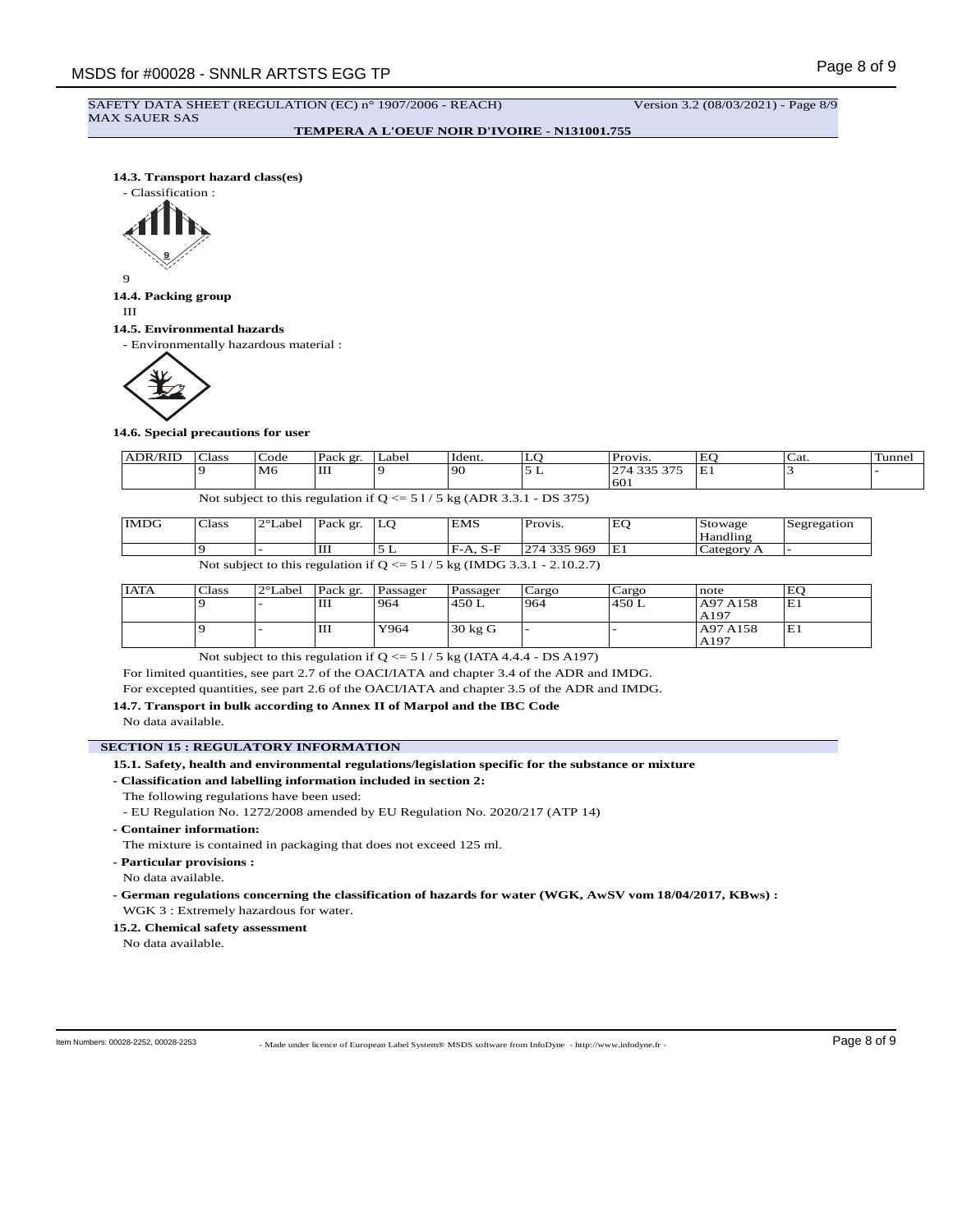#### SAFETY DATA SHEET (REGULATION (EC) n° 1907/2006 - REACH) Version 3.2 (08/03/2021) - Page 8/9 MAX SAUER SAS

# **TEMPERA A L'OEUF NOIR D'IVOIRE - N131001.755**

**14.3. Transport hazard class(es)**



# **14.4. Packing group**

III

## **14.5. Environmental hazards**

- Environmentally hazardous material :



### **14.6. Special precautions for user**

| <b>ADR/RID</b> | 'Class | $\sim$<br>Code | Pack gr.<br>. | Label | 'Ident. | - L      | Provis.                                              | <b>E</b><br>- Le | Cat. | Tunne |
|----------------|--------|----------------|---------------|-------|---------|----------|------------------------------------------------------|------------------|------|-------|
|                |        | M6             | Ш             |       | '90     | <b>.</b> | $\gamma$<br>225<br>$\sim$ $-$<br>1 Z.I<br>. .<br>--- | E1               |      |       |
|                |        |                |               |       |         |          | 601                                                  |                  |      |       |

Not subject to this regulation if  $Q \le 51/5$  kg (ADR 3.3.1 - DS 375)

| <b>IMDG</b>                                                               | Class | $2^{\circ}$ Label | Pack gr. | LO | <b>EMS</b> | Provis.     | <b>IEO</b> | Stowage    | <b>Segregation</b> |
|---------------------------------------------------------------------------|-------|-------------------|----------|----|------------|-------------|------------|------------|--------------------|
|                                                                           |       |                   |          |    |            |             |            | Handling   |                    |
|                                                                           |       |                   | ш        |    | F-A. S-F   | 274 335 969 | IE1        | Category A |                    |
| Not subject to this regulation if $Q \le 51/5$ kg (IMDG 3.3.1 - 2.10.2.7) |       |                   |          |    |            |             |            |            |                    |

| Not subject to this regulation if $Q \le 51/5$ kg (IMDG 3.3.1 - 2.10.2.7) |
|---------------------------------------------------------------------------|
|---------------------------------------------------------------------------|

| IATA | Class | $2^{\circ}$ Label | Pack gr. | Passager | Passager          | Cargo | Cargo | note     | EO  |
|------|-------|-------------------|----------|----------|-------------------|-------|-------|----------|-----|
|      |       |                   | Ш        | 964      | 1450 L            | 1964  | 450 L | A97 A158 | lE1 |
|      |       |                   |          |          |                   |       |       | AA197    |     |
|      |       |                   | Ш        | Y964     | $30 \text{ kg}$ G | --    |       | A97 A158 | 'E1 |
|      |       |                   |          |          |                   |       |       | AA197    |     |

Not subject to this regulation if  $Q \le 51/5$  kg (IATA 4.4.4 - DS A197)

For limited quantities, see part 2.7 of the OACI/IATA and chapter 3.4 of the ADR and IMDG.

For excepted quantities, see part 2.6 of the OACI/IATA and chapter 3.5 of the ADR and IMDG.

**14.7. Transport in bulk according to Annex II of Marpol and the IBC Code**

No data available.

## **SECTION 15 : REGULATORY INFORMATION**

**15.1. Safety, health and environmental regulations/legislation specific for the substance or mixture**

# **- Classification and labelling information included in section 2:**

- The following regulations have been used:
- EU Regulation No. 1272/2008 amended by EU Regulation No. 2020/217 (ATP 14)
- **Container information:**
- The mixture is contained in packaging that does not exceed 125 ml.
- **Particular provisions :**
- No data available.
- **German regulations concerning the classification of hazards for water (WGK, AwSV vom 18/04/2017, KBws) :** WGK 3 : Extremely hazardous for water.
- **15.2. Chemical safety assessment**

No data available.

- Made under licence of European Label System® MSDS software from InfoDyne - http://www.infodyne.fr - Item Numbers: 00028-2252, 00028-2253 Page 8 of 9